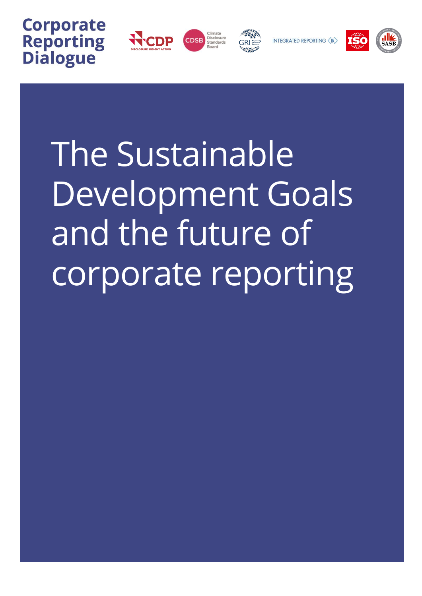







INTEGRATED REPORTING (IR)



The Sustainable Development Goals and the future of corporate reporting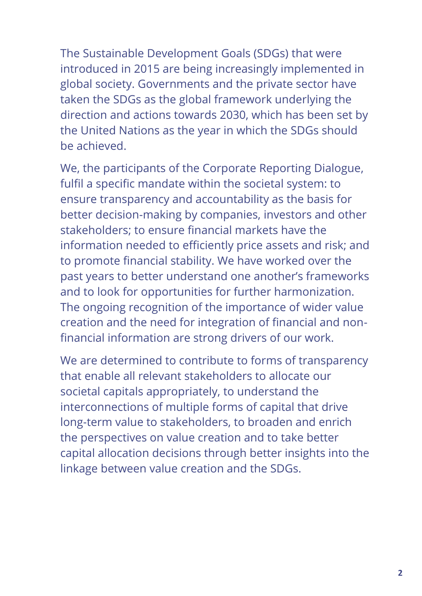The Sustainable Development Goals (SDGs) that were introduced in 2015 are being increasingly implemented in global society. Governments and the private sector have taken the SDGs as the global framework underlying the direction and actions towards 2030, which has been set by the United Nations as the year in which the SDGs should be achieved.

We, the participants of the Corporate Reporting Dialogue, fulfil a specific mandate within the societal system: to ensure transparency and accountability as the basis for better decision-making by companies, investors and other stakeholders; to ensure financial markets have the information needed to efficiently price assets and risk; and to promote financial stability. We have worked over the past years to better understand one another's frameworks and to look for opportunities for further harmonization. The ongoing recognition of the importance of wider value creation and the need for integration of financial and nonfinancial information are strong drivers of our work.

We are determined to contribute to forms of transparency that enable all relevant stakeholders to allocate our societal capitals appropriately, to understand the interconnections of multiple forms of capital that drive long-term value to stakeholders, to broaden and enrich the perspectives on value creation and to take better capital allocation decisions through better insights into the linkage between value creation and the SDGs.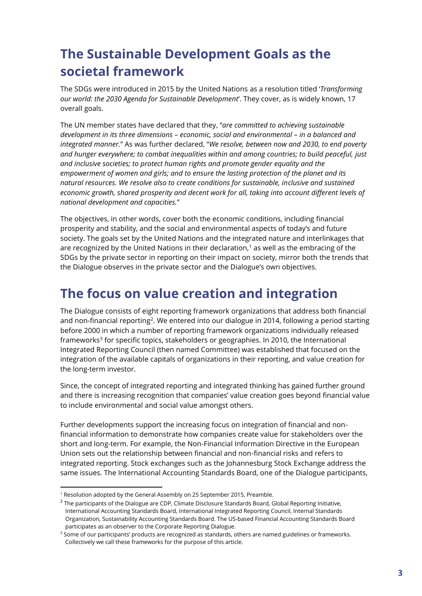## **The Sustainable Development Goals as the societal framework**

The SDGs were introduced in 2015 by the United Nations as a resolution titled '*Transforming our world: the 2030 Agenda for Sustainable Development*'. They cover, as is widely known, 17 overall goals.

The UN member states have declared that they, "*are committed to achieving sustainable development in its three dimensions – economic, social and environmental – in a balanced and integrated manner.*" As was further declared, "*We resolve, between now and 2030, to end poverty and hunger everywhere; to combat inequalities within and among countries; to build peaceful, just and inclusive societies; to protect human rights and promote gender equality and the empowerment of women and girls; and to ensure the lasting protection of the planet and its natural resources. We resolve also to create conditions for sustainable, inclusive and sustained economic growth, shared prosperity and decent work for all, taking into account different levels of national development and capacities.*"

The objectives, in other words, cover both the economic conditions, including financial prosperity and stability, and the social and environmental aspects of today's and future society. The goals set by the United Nations and the integrated nature and interlinkages that are recognized by the United Nations in their declaration, $1$  as well as the embracing of the SDGs by the private sector in reporting on their impact on society, mirror both the trends that the Dialogue observes in the private sector and the Dialogue's own objectives.

#### **The focus on value creation and integration**

The Dialogue consists of eight reporting framework organizations that address both financial and non-financial reporting<sup>2</sup>. We entered into our dialogue in 2014, following a period starting before 2000 in which a number of reporting framework organizations individually released frameworks<sup>3</sup> for specific topics, stakeholders or geographies. In 2010, the International Integrated Reporting Council (then named Committee) was established that focused on the integration of the available capitals of organizations in their reporting, and value creation for the long-term investor.

Since, the concept of integrated reporting and integrated thinking has gained further ground and there is increasing recognition that companies' value creation goes beyond financial value to include environmental and social value amongst others.

Further developments support the increasing focus on integration of financial and nonfinancial information to demonstrate how companies create value for stakeholders over the short and long-term. For example, the Non-Financial Information Directive in the European Union sets out the relationship between financial and non-financial risks and refers to integrated reporting. Stock exchanges such as the Johannesburg Stock Exchange address the same issues. The International Accounting Standards Board, one of the Dialogue participants,

**.** 

<sup>&</sup>lt;sup>1</sup> Resolution adopted by the General Assembly on 25 September 2015, Preamble.

<sup>&</sup>lt;sup>2</sup> The participants of the Dialogue are CDP, Climate Disclosure Standards Board, Global Reporting Initiative, International Accounting Standards Board, International Integrated Reporting Council, Internal Standards Organization, Sustainability Accounting Standards Board. The US-based Financial Accounting Standards Board participates as an observer to the Corporate Reporting Dialogue.

<sup>&</sup>lt;sup>3</sup> Some of our participants' products are recognized as standards, others are named guidelines or frameworks. Collectively we call these frameworks for the purpose of this article.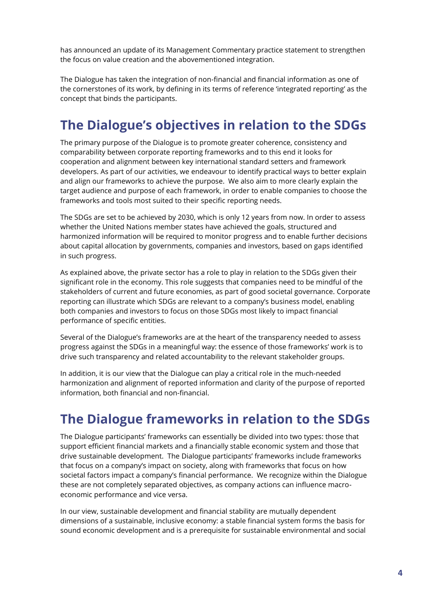has announced an update of its Management Commentary practice statement to strengthen the focus on value creation and the abovementioned integration.

The Dialogue has taken the integration of non-financial and financial information as one of the cornerstones of its work, by defining in its terms of reference 'integrated reporting' as the concept that binds the participants.

## **The Dialogue's objectives in relation to the SDGs**

The primary purpose of the Dialogue is to promote greater coherence, consistency and comparability between corporate reporting frameworks and to this end it looks for cooperation and alignment between key international standard setters and framework developers. As part of our activities, we endeavour to identify practical ways to better explain and align our frameworks to achieve the purpose. We also aim to more clearly explain the target audience and purpose of each framework, in order to enable companies to choose the frameworks and tools most suited to their specific reporting needs.

The SDGs are set to be achieved by 2030, which is only 12 years from now. In order to assess whether the United Nations member states have achieved the goals, structured and harmonized information will be required to monitor progress and to enable further decisions about capital allocation by governments, companies and investors, based on gaps identified in such progress.

As explained above, the private sector has a role to play in relation to the SDGs given their significant role in the economy. This role suggests that companies need to be mindful of the stakeholders of current and future economies, as part of good societal governance. Corporate reporting can illustrate which SDGs are relevant to a company's business model, enabling both companies and investors to focus on those SDGs most likely to impact financial performance of specific entities.

Several of the Dialogue's frameworks are at the heart of the transparency needed to assess progress against the SDGs in a meaningful way: the essence of those frameworks' work is to drive such transparency and related accountability to the relevant stakeholder groups.

In addition, it is our view that the Dialogue can play a critical role in the much-needed harmonization and alignment of reported information and clarity of the purpose of reported information, both financial and non-financial.

## **The Dialogue frameworks in relation to the SDGs**

The Dialogue participants' frameworks can essentially be divided into two types: those that support efficient financial markets and a financially stable economic system and those that drive sustainable development. The Dialogue participants' frameworks include frameworks that focus on a company's impact on society, along with frameworks that focus on how societal factors impact a company's financial performance. We recognize within the Dialogue these are not completely separated objectives, as company actions can influence macroeconomic performance and vice versa.

In our view, sustainable development and financial stability are mutually dependent dimensions of a sustainable, inclusive economy: a stable financial system forms the basis for sound economic development and is a prerequisite for sustainable environmental and social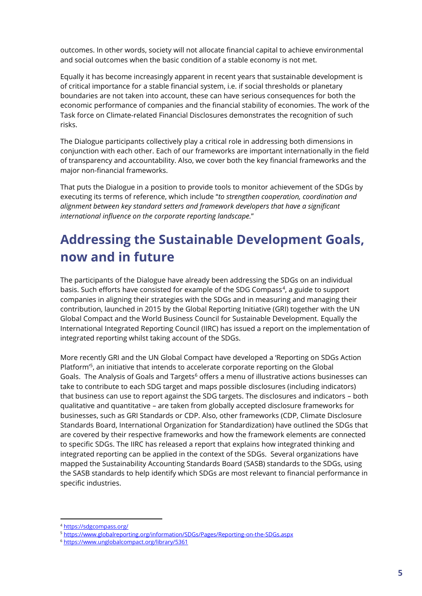outcomes. In other words, society will not allocate financial capital to achieve environmental and social outcomes when the basic condition of a stable economy is not met.

Equally it has become increasingly apparent in recent years that sustainable development is of critical importance for a stable financial system, i.e. if social thresholds or planetary boundaries are not taken into account, these can have serious consequences for both the economic performance of companies and the financial stability of economies. The work of the Task force on Climate-related Financial Disclosures demonstrates the recognition of such risks.

The Dialogue participants collectively play a critical role in addressing both dimensions in conjunction with each other. Each of our frameworks are important internationally in the field of transparency and accountability. Also, we cover both the key financial frameworks and the major non-financial frameworks.

That puts the Dialogue in a position to provide tools to monitor achievement of the SDGs by executing its terms of reference, which include "*to strengthen cooperation, coordination and alignment between key standard setters and framework developers that have a significant international influence on the corporate reporting landscape.*"

# **Addressing the Sustainable Development Goals, now and in future**

The participants of the Dialogue have already been addressing the SDGs on an individual basis. Such efforts have consisted for example of the SDG Compass<sup>4</sup>, a guide to support companies in aligning their strategies with the SDGs and in measuring and managing their contribution, launched in 2015 by the Global Reporting Initiative (GRI) together with the UN Global Compact and the World Business Council for Sustainable Development. Equally the International Integrated Reporting Council (IIRC) has issued a report on the implementation of integrated reporting whilst taking account of the SDGs.

More recently GRI and the UN Global Compact have developed a 'Reporting on SDGs Action Platform<sup>'5</sup>, an initiative that intends to accelerate corporate reporting on the Global Goals. The Analysis of Goals and Targets<sup>6</sup> offers a menu of illustrative actions businesses can take to contribute to each SDG target and maps possible disclosures (including indicators) that business can use to report against the SDG targets. The disclosures and indicators – both qualitative and quantitative – are taken from globally accepted disclosure frameworks for businesses, such as GRI Standards or CDP. Also, other frameworks (CDP, Climate Disclosure Standards Board, International Organization for Standardization) have outlined the SDGs that are covered by their respective frameworks and how the framework elements are connected to specific SDGs. The IIRC has released a report that explains how integrated thinking and integrated reporting can be applied in the context of the SDGs. Several organizations have mapped the Sustainability Accounting Standards Board (SASB) standards to the SDGs, using the SASB standards to help identify which SDGs are most relevant to financial performance in specific industries.

 $\overline{a}$ 

<sup>4</sup> <https://sdgcompass.org/>

<sup>5</sup> <https://www.globalreporting.org/information/SDGs/Pages/Reporting-on-the-SDGs.aspx>

<sup>6</sup> <https://www.unglobalcompact.org/library/5361>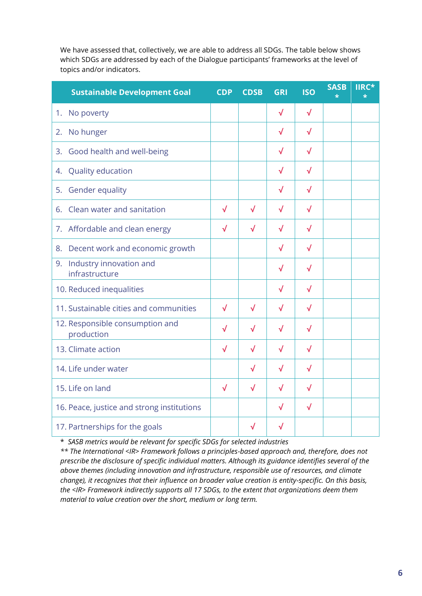We have assessed that, collectively, we are able to address all SDGs. The table below shows which SDGs are addressed by each of the Dialogue participants' frameworks at the level of topics and/or indicators.

| <b>Sustainable Development Goal</b>             | <b>CDP</b>   | <b>CDSB</b> | <b>GRI</b> | <b>ISO</b> | <b>SASB</b> | <b>TIRC*</b> |
|-------------------------------------------------|--------------|-------------|------------|------------|-------------|--------------|
| No poverty<br>1.                                |              |             | $\sqrt{}$  | $\sqrt{}$  |             |              |
| No hunger<br>2.                                 |              |             | √          | √          |             |              |
| 3. Good health and well-being                   |              |             | √          | √          |             |              |
| 4. Quality education                            |              |             | √          | √          |             |              |
| 5. Gender equality                              |              |             | √          | √          |             |              |
| Clean water and sanitation<br>6.                | $\sqrt{}$    | $\sqrt{}$   | $\sqrt{}$  | √          |             |              |
| 7. Affordable and clean energy                  | √            | $\sqrt{}$   | $\sqrt{}$  | $\sqrt{}$  |             |              |
| 8. Decent work and economic growth              |              |             | $\sqrt{}$  | √          |             |              |
| Industry innovation and<br>9.<br>infrastructure |              |             | √          | √          |             |              |
| 10. Reduced inequalities                        |              |             | √          | $\sqrt{}$  |             |              |
| 11. Sustainable cities and communities          | $\sqrt{}$    | $\sqrt{}$   | √          | $\sqrt{}$  |             |              |
| 12. Responsible consumption and<br>production   | $\checkmark$ | √           | $\sqrt{}$  | $\sqrt{}$  |             |              |
| 13. Climate action                              | $\sqrt{}$    | √           | $\sqrt{}$  | √          |             |              |
| 14. Life under water                            |              | √           | √          | √          |             |              |
| 15. Life on land                                | √            | √           | $\sqrt{}$  | √          |             |              |
| 16. Peace, justice and strong institutions      |              |             | $\sqrt{}$  | $\sqrt{}$  |             |              |
| 17. Partnerships for the goals                  |              | √           | $\sqrt{}$  |            |             |              |

\* *SASB metrics would be relevant for specific SDGs for selected industries*

*\*\* The International <IR> Framework follows a principles-based approach and, therefore, does not prescribe the disclosure of specific individual matters. Although its guidance identifies several of the above themes (including innovation and infrastructure, responsible use of resources, and climate change), it recognizes that their influence on broader value creation is entity-specific. On this basis, the <IR> Framework indirectly supports all 17 SDGs, to the extent that organizations deem them material to value creation over the short, medium or long term.*